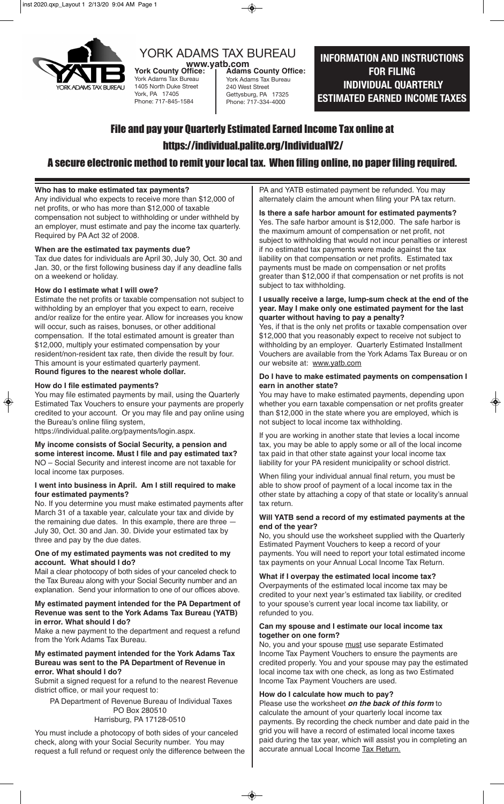

# YORK ADAMS TAX BUREAU

**WWW.yatb.com**<br>York County Office: 1 Adams York Adams Tax Bureau 1405 North Duke Street York, PA 17405 Phone: 717-845-1584

# **INFORMATION AND INSTRUCTIONS FOR FILING INDIVIDUAL QUARTERLY ESTIMATED EARNED INCOME TAXES**

# File and pay your Quarterly Estimated Earned Income Tax online at https://individual.palite.org/IndividualV2/

**Adams County Office:** York Adams Tax Bureau 240 West Street Gettysburg, PA 17325 Phone: 717-334-4000

## A secure electronic method to remit your local tax. When filing online, no paper filing required.

#### **Who has to make estimated tax payments?**

Any individual who expects to receive more than \$12,000 of net profits, or who has more than \$12,000 of taxable compensation not subject to withholding or under withheld by an employer, must estimate and pay the income tax quarterly. Required by PA Act 32 of 2008.

#### **When are the estimated tax payments due?**

Tax due dates for individuals are April 30, July 30, Oct. 30 and Jan. 30, or the first following business day if any deadline falls on a weekend or holiday.

#### **How do I estimate what I will owe?**

Estimate the net profits or taxable compensation not subject to withholding by an employer that you expect to earn, receive and/or realize for the entire year. Allow for increases you know will occur, such as raises, bonuses, or other additional compensation. If the total estimated amount is greater than \$12,000, multiply your estimated compensation by your resident/non-resident tax rate, then divide the result by four. This amount is your estimated quarterly payment. **Round figures to the nearest whole dollar.**

#### **How do I file estimated payments?**

You may file estimated payments by mail, using the Quarterly Estimated Tax Vouchers to ensure your payments are properly credited to your account. Or you may file and pay online using the Bureau's online filing system,

https://individual.palite.org/payments/login.aspx.

**My income consists of Social Security, a pension and some interest income. Must I file and pay estimated tax?** NO – Social Security and interest income are not taxable for local income tax purposes.

#### **I went into business in April. Am I still required to make four estimated payments?**

No. If you determine you must make estimated payments after March 31 of a taxable year, calculate your tax and divide by the remaining due dates. In this example, there are three — July 30, Oct. 30 and Jan. 30. Divide your estimated tax by three and pay by the due dates.

#### **One of my estimated payments was not credited to my account. What should I do?**

Mail a clear photocopy of both sides of your canceled check to the Tax Bureau along with your Social Security number and an explanation. Send your information to one of our offices above.

#### **My estimated payment intended for the PA Department of Revenue was sent to the York Adams Tax Bureau (YATB) in error. What should I do?**

Make a new payment to the department and request a refund from the York Adams Tax Bureau.

#### **My estimated payment intended for the York Adams Tax Bureau was sent to the PA Department of Revenue in error. What should I do?**

Submit a signed request for a refund to the nearest Revenue district office, or mail your request to:

 PA Department of Revenue Bureau of Individual Taxes PO Box 280510

### Harrisburg, PA 17128-0510

You must include a photocopy of both sides of your canceled check, along with your Social Security number. You may request a full refund or request only the difference between the PA and YATB estimated payment be refunded. You may alternately claim the amount when filing your PA tax return.

**Is there a safe harbor amount for estimated payments?** Yes. The safe harbor amount is \$12,000. The safe harbor is the maximum amount of compensation or net profit, not subject to withholding that would not incur penalties or interest if no estimated tax payments were made against the tax liability on that compensation or net profits. Estimated tax

payments must be made on compensation or net profits greater than \$12,000 if that compensation or net profits is not subject to tax withholding.

#### **I usually receive a large, lump-sum check at the end of the year. May I make only one estimated payment for the last quarter without having to pay a penalty?**

Yes, if that is the only net profits or taxable compensation over \$12,000 that you reasonably expect to receive not subject to withholding by an employer. Quarterly Estimated Installment Vouchers are available from the York Adams Tax Bureau or on our website at: www.yatb.com

#### **Do I have to make estimated payments on compensation I earn in another state?**

You may have to make estimated payments, depending upon whether you earn taxable compensation or net profits greater than \$12,000 in the state where you are employed, which is not subject to local income tax withholding.

If you are working in another state that levies a local income tax, you may be able to apply some or all of the local income tax paid in that other state against your local income tax liability for your PA resident municipality or school district.

When filing your individual annual final return, you must be able to show proof of payment of a local income tax in the other state by attaching a copy of that state or locality's annual tax return.

#### **Will YATB send a record of my estimated payments at the end of the year?**

No, you should use the worksheet supplied with the Quarterly Estimated Payment Vouchers to keep a record of your payments. You will need to report your total estimated income tax payments on your Annual Local Income Tax Return.

#### **What if I overpay the estimated local income tax?**

Overpayments of the estimated local income tax may be credited to your next year's estimated tax liability, or credited to your spouse's current year local income tax liability, or refunded to you.

#### **Can my spouse and I estimate our local income tax together on one form?**

No, you and your spouse must use separate Estimated Income Tax Payment Vouchers to ensure the payments are credited properly. You and your spouse may pay the estimated local income tax with one check, as long as two Estimated Income Tax Payment Vouchers are used.

#### **How do I calculate how much to pay?**

Please use the worksheet *on the back of this form* to calculate the amount of your quarterly local income tax payments. By recording the check number and date paid in the grid you will have a record of estimated local income taxes paid during the tax year, which will assist you in completing an accurate annual Local Income Tax Return.